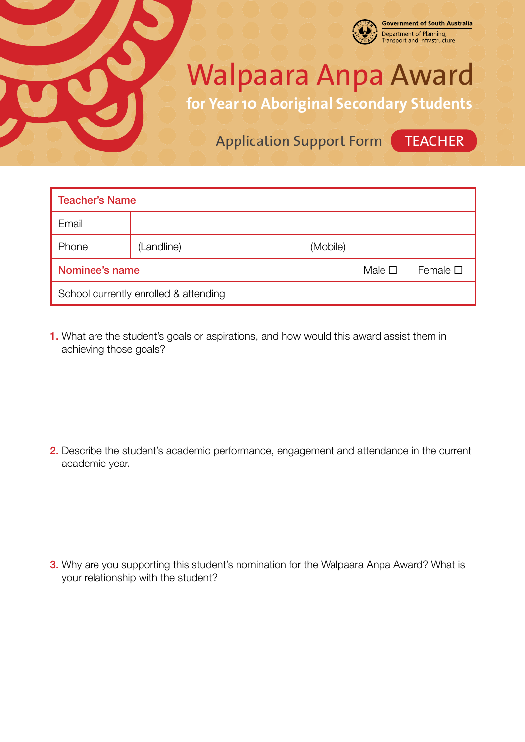

## Walpaara Anpa Award

**for Year 10 Aboriginal Secondary Students**

Application Support Form (TEACHER

**Government of South Australia** Department of Planning,<br>Transport and Infrastructure

| <b>Teacher's Name</b>                 |            |  |  |          |                |                  |
|---------------------------------------|------------|--|--|----------|----------------|------------------|
| Email                                 |            |  |  |          |                |                  |
| Phone                                 | (Landline) |  |  | (Mobile) |                |                  |
| Nominee's name                        |            |  |  |          | Male $\square$ | Female $\square$ |
| School currently enrolled & attending |            |  |  |          |                |                  |

1. What are the student's goals or aspirations, and how would this award assist them in achieving those goals?

2. Describe the student's academic performance, engagement and attendance in the current academic year.

**3.** Why are you supporting this student's nomination for the Walpaara Anpa Award? What is your relationship with the student?